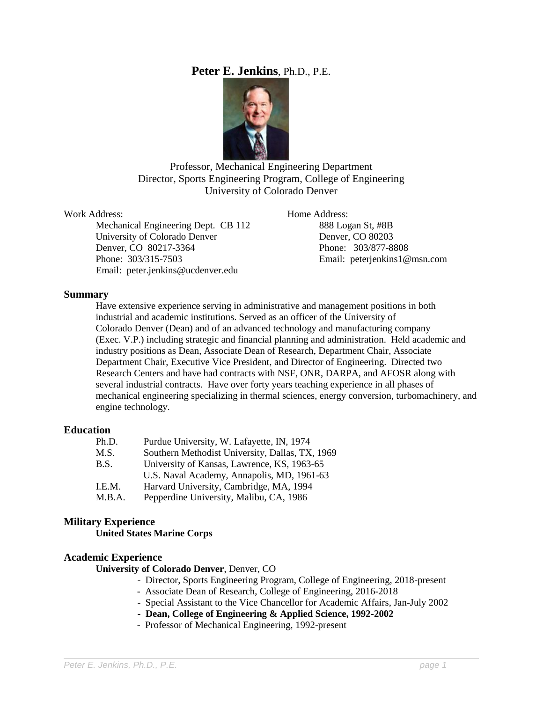# **Peter E. Jenkins**, Ph.D., P.E.



Professor, Mechanical Engineering Department Director, Sports Engineering Program, College of Engineering University of Colorado Denver

Mechanical Engineering Dept. CB 112 888 Logan St, #8B University of Colorado Denver Denver, CO 80203 Denver, CO 80217-3364 Phone: 303/877-8808 Phone: 303/315-7503 Email: peterjenkins1@msn.com Email: peter.jenkins@ucdenver.edu

Work Address: Home Address:

## **Summary**

Have extensive experience serving in administrative and management positions in both industrial and academic institutions. Served as an officer of the University of Colorado Denver (Dean) and of an advanced technology and manufacturing company (Exec. V.P.) including strategic and financial planning and administration. Held academic and industry positions as Dean, Associate Dean of Research, Department Chair, Associate Department Chair, Executive Vice President, and Director of Engineering. Directed two Research Centers and have had contracts with NSF, ONR, DARPA, and AFOSR along with several industrial contracts. Have over forty years teaching experience in all phases of mechanical engineering specializing in thermal sciences, energy conversion, turbomachinery, and engine technology.

## **Education**

| Ph.D.  | Purdue University, W. Lafayette, IN, 1974       |
|--------|-------------------------------------------------|
| M.S.   | Southern Methodist University, Dallas, TX, 1969 |
| B.S.   | University of Kansas, Lawrence, KS, 1963-65     |
|        | U.S. Naval Academy, Annapolis, MD, 1961-63      |
| I.E.M. | Harvard University, Cambridge, MA, 1994         |
| M.B.A. | Pepperdine University, Malibu, CA, 1986         |

## **Military Experience**

**United States Marine Corps**

## **Academic Experience**

**University of Colorado Denver**, Denver, CO

- Director, Sports Engineering Program, College of Engineering, 2018-present
- Associate Dean of Research, College of Engineering, 2016-2018
- Special Assistant to the Vice Chancellor for Academic Affairs, Jan-July 2002
- **Dean, College of Engineering & Applied Science, 1992-2002**
- Professor of Mechanical Engineering, 1992-present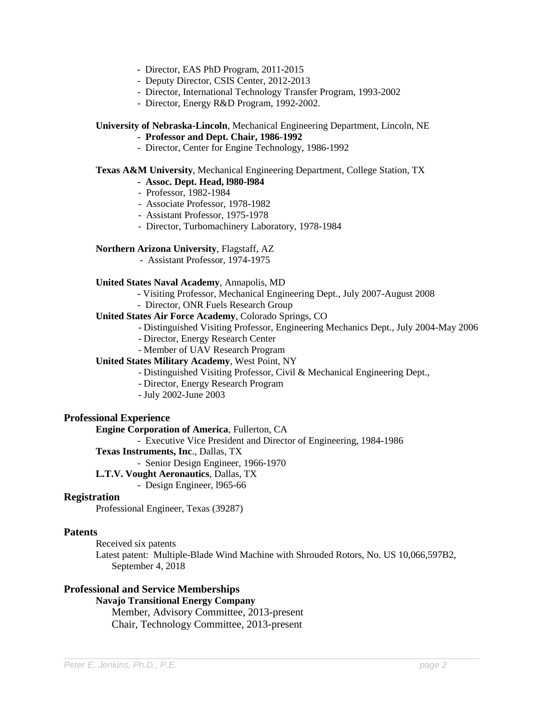- Director, EAS PhD Program, 2011-2015
- Deputy Director, CSIS Center, 2012-2013
- Director, International Technology Transfer Program, 1993-2002
- Director, Energy R&D Program, 1992-2002.

#### **University of Nebraska-Lincoln**, Mechanical Engineering Department, Lincoln, NE

- **Professor and Dept. Chair, 1986-1992**
- Director, Center for Engine Technology, 1986-1992

## **Texas A&M University**, Mechanical Engineering Department, College Station, TX

- **Assoc. Dept. Head, l980-l984**
- Professor, 1982-1984
- Associate Professor, 1978-1982
- Assistant Professor, 1975-1978
- Director, Turbomachinery Laboratory, 1978-1984

### **Northern Arizona University**, Flagstaff, AZ

- Assistant Professor, 1974-1975

#### **United States Naval Academy**, Annapolis, MD

- **-** Visiting Professor, Mechanical Engineering Dept., July 2007-August 2008
- Director, ONR Fuels Research Group

#### **United States Air Force Academy**, Colorado Springs, CO

- Distinguished Visiting Professor, Engineering Mechanics Dept., July 2004-May 2006
- Director, Energy Research Center
- Member of UAV Research Program

#### **United States Military Academy**, West Point, NY

- Distinguished Visiting Professor, Civil & Mechanical Engineering Dept.,
- Director, Energy Research Program
- July 2002-June 2003

#### **Professional Experience**

## **Engine Corporation of America**, Fullerton, CA

- Executive Vice President and Director of Engineering, 1984-1986
- **Texas Instruments, Inc**., Dallas, TX

- Senior Design Engineer, 1966-1970

- **L.T.V. Vought Aeronautics**, Dallas, TX
	- Design Engineer, l965-66

## **Registration**

Professional Engineer, Texas (39287)

## **Patents**

Received six patents

Latest patent: Multiple-Blade Wind Machine with Shrouded Rotors, No. US 10,066,597B2, September 4, 2018

## **Professional and Service Memberships**

## **Navajo Transitional Energy Company**

Member, Advisory Committee, 2013-present Chair, Technology Committee, 2013-present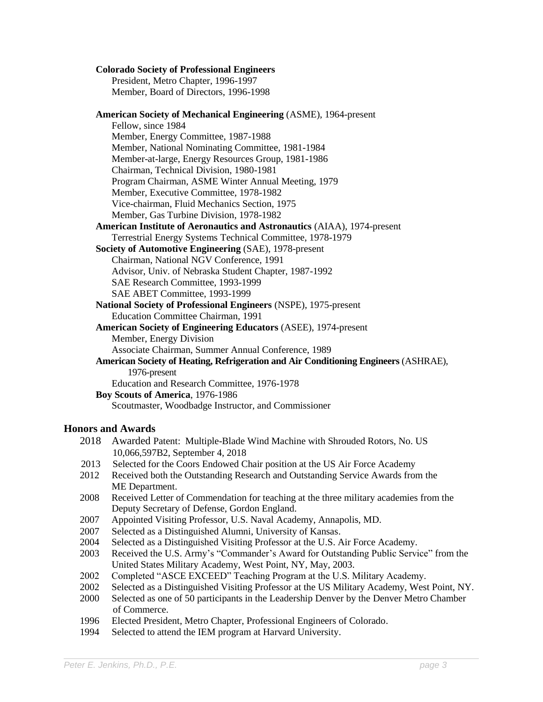**Colorado Society of Professional Engineers** President, Metro Chapter, 1996-1997 Member, Board of Directors, 1996-1998 **American Society of Mechanical Engineering** (ASME), 1964-present Fellow, since 1984 Member, Energy Committee, 1987-1988 Member, National Nominating Committee, 1981-1984 Member-at-large, Energy Resources Group, 1981-1986 Chairman, Technical Division, 1980-1981 Program Chairman, ASME Winter Annual Meeting, 1979 Member, Executive Committee, 1978-1982 Vice-chairman, Fluid Mechanics Section, 1975 Member, Gas Turbine Division, 1978-1982 **American Institute of Aeronautics and Astronautics** (AIAA), 1974-present Terrestrial Energy Systems Technical Committee, 1978-1979 **Society of Automotive Engineering** (SAE), 1978-present Chairman, National NGV Conference, 1991 Advisor, Univ. of Nebraska Student Chapter, 1987-1992 SAE Research Committee, 1993-1999 SAE ABET Committee, 1993-1999  **National Society of Professional Engineers** (NSPE), 1975-present Education Committee Chairman, 1991 **American Society of Engineering Educators** (ASEE), 1974-present Member, Energy Division Associate Chairman, Summer Annual Conference, 1989 **American Society of Heating, Refrigeration and Air Conditioning Engineers** (ASHRAE), 1976-present Education and Research Committee, 1976-1978 **Boy Scouts of America**, 1976-1986 Scoutmaster, Woodbadge Instructor, and Commissioner

## **Honors and Awards**

- 2018 Awarded Patent: Multiple-Blade Wind Machine with Shrouded Rotors, No. US 10,066,597B2, September 4, 2018
- 2013 Selected for the Coors Endowed Chair position at the US Air Force Academy
- 2012 Received both the Outstanding Research and Outstanding Service Awards from the ME Department.
- 2008 Received Letter of Commendation for teaching at the three military academies from the Deputy Secretary of Defense, Gordon England.
- 2007 Appointed Visiting Professor, U.S. Naval Academy, Annapolis, MD.
- 2007 Selected as a Distinguished Alumni, University of Kansas.
- 2004 Selected as a Distinguished Visiting Professor at the U.S. Air Force Academy.
- 2003 Received the U.S. Army's "Commander's Award for Outstanding Public Service" from the United States Military Academy, West Point, NY, May, 2003.
- 2002 Completed "ASCE EXCEED" Teaching Program at the U.S. Military Academy.
- 2002 Selected as a Distinguished Visiting Professor at the US Military Academy, West Point, NY.
- 2000 Selected as one of 50 participants in the Leadership Denver by the Denver Metro Chamber of Commerce.
- 1996 Elected President, Metro Chapter, Professional Engineers of Colorado.
- 1994 Selected to attend the IEM program at Harvard University.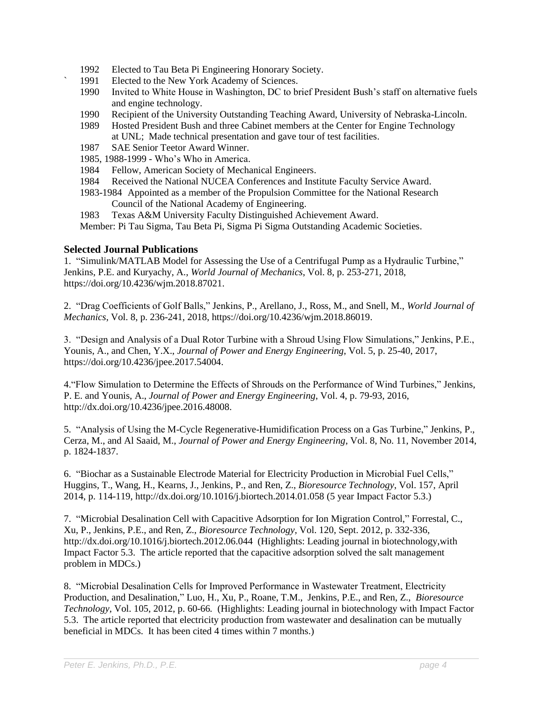- 1992 Elected to Tau Beta Pi Engineering Honorary Society.
- ` 1991 Elected to the New York Academy of Sciences.
- 1990 Invited to White House in Washington, DC to brief President Bush's staff on alternative fuels and engine technology.
- 1990 Recipient of the University Outstanding Teaching Award, University of Nebraska-Lincoln.
- 1989 Hosted President Bush and three Cabinet members at the Center for Engine Technology at UNL; Made technical presentation and gave tour of test facilities.
- 1987 SAE Senior Teetor Award Winner.
- 1985, 1988-1999 Who's Who in America.
- 1984 Fellow, American Society of Mechanical Engineers.
- 1984 Received the National NUCEA Conferences and Institute Faculty Service Award.
- 1983-1984 Appointed as a member of the Propulsion Committee for the National Research Council of the National Academy of Engineering.
- 1983 Texas A&M University Faculty Distinguished Achievement Award.

Member: Pi Tau Sigma, Tau Beta Pi, Sigma Pi Sigma Outstanding Academic Societies.

## **Selected Journal Publications**

1. "Simulink/MATLAB Model for Assessing the Use of a Centrifugal Pump as a Hydraulic Turbine," Jenkins, P.E. and Kuryachy, A., *World Journal of Mechanics*, Vol. 8, p. 253-271, 2018, https://doi.org/10.4236/wjm.2018.87021.

2. "Drag Coefficients of Golf Balls," Jenkins, P., Arellano, J., Ross, M., and Snell, M., *World Journal of Mechanics*, Vol. 8, p. 236-241, 2018, https://doi.org/10.4236/wjm.2018.86019.

3. "Design and Analysis of a Dual Rotor Turbine with a Shroud Using Flow Simulations," Jenkins, P.E., Younis, A., and Chen, Y.X., *Journal of Power and Energy Engineering*, Vol. 5, p. 25-40, 2017, https://doi.org/10.4236/jpee.2017.54004.

4."Flow Simulation to Determine the Effects of Shrouds on the Performance of Wind Turbines," Jenkins, P. E. and Younis, A., *Journal of Power and Energy Engineering*, Vol. 4, p. 79-93, 2016, http://dx.doi.org/10.4236/jpee.2016.48008.

5. "Analysis of Using the M-Cycle Regenerative-Humidification Process on a Gas Turbine," Jenkins, P., Cerza, M., and Al Saaid, M., *Journal of Power and Energy Engineering*, Vol. 8, No. 11, November 2014, p. 1824-1837.

6. "Biochar as a Sustainable Electrode Material for Electricity Production in Microbial Fuel Cells," Huggins, T., Wang, H., Kearns, J., Jenkins, P., and Ren, Z., *Bioresource Technology*, Vol. 157, April 2014, p. 114-119, http://dx.doi.org/10.1016/j.biortech.2014.01.058 (5 year Impact Factor 5.3.)

7. "Microbial Desalination Cell with Capacitive Adsorption for Ion Migration Control," Forrestal, C., Xu, P., Jenkins, P.E., and Ren, Z., *Bioresource Technology,* Vol. 120, Sept. 2012, p. 332-336, http://dx.doi.org/10.1016/j.biortech.2012.06.044 (Highlights: Leading journal in biotechnology,with Impact Factor 5.3. The article reported that the capacitive adsorption solved the salt management problem in MDCs.)

8. "Microbial Desalination Cells for Improved Performance in Wastewater Treatment, Electricity Production, and Desalination," Luo*,* H., Xu, P., Roane, T.M., Jenkins, P.E., and Ren, Z., *Bioresource Technology*, Vol. 105, 2012, p. 60-66*.* (Highlights: Leading journal in biotechnology with Impact Factor 5.3. The article reported that electricity production from wastewater and desalination can be mutually beneficial in MDCs. It has been cited 4 times within 7 months.)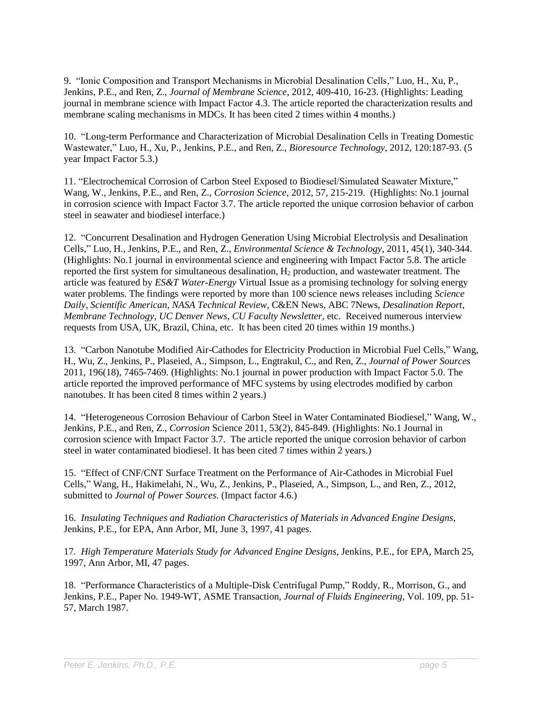9. "Ionic Composition and Transport Mechanisms in Microbial Desalination Cells," Luo, H., Xu, P., Jenkins, P.E., and Ren, Z., *Journal of Membrane Science,* 2012, 409-410, 16-23. (Highlights: Leading journal in membrane science with Impact Factor 4.3. The article reported the characterization results and membrane scaling mechanisms in MDCs. It has been cited 2 times within 4 months.)

10. "Long-term Performance and Characterization of Microbial Desalination Cells in Treating Domestic Wastewater," Luo, H., Xu, P., Jenkins, P.E., and Ren, Z., *Bioresource Technology,* 2012, 120:187-93. (5 year Impact Factor 5.3.)

11. "Electrochemical Corrosion of Carbon Steel Exposed to Biodiesel/Simulated Seawater Mixture," Wang, W., Jenkins, P.E., and Ren, Z., *Corrosion Science*, 2012, 57, 215-219. (Highlights: No.1 journal in corrosion science with Impact Factor 3.7. The article reported the unique corrosion behavior of carbon steel in seawater and biodiesel interface.)

12. "Concurrent Desalination and Hydrogen Generation Using Microbial Electrolysis and Desalination Cells," Luo*,* H., Jenkins, P.E., and Ren, Z., *Environmental Science & Technology,* 2011, 45(1), 340-344. (Highlights: No.1 journal in environmental science and engineering with Impact Factor 5.8. The article reported the first system for simultaneous desalination,  $H_2$  production, and wastewater treatment. The article was featured by *ES&T Water-Energy* Virtual Issue as a promising technology for solving energy water problems. The findings were reported by more than 100 science news releases including *Science Daily*, *Scientific American*, *NASA Technical Review*, C&EN News, ABC 7News, *Desalination Report*, *Membrane Technology*, *UC Denver News*, *CU Faculty Newsletter*, etc. Received numerous interview requests from USA, UK, Brazil, China, etc. It has been cited 20 times within 19 months.)

13. "Carbon Nanotube Modified Air-Cathodes for Electricity Production in Microbial Fuel Cells," Wang, H., Wu, Z., Jenkins, P., Plaseied, A., Simpson, L., Engtrakul, C., and Ren, Z., *Journal of Power Sources* 2011, 196(18), 7465-7469*.* (Highlights: No.1 journal in power production with Impact Factor 5.0. The article reported the improved performance of MFC systems by using electrodes modified by carbon nanotubes. It has been cited 8 times within 2 years.)

14. "Heterogeneous Corrosion Behaviour of Carbon Steel in Water Contaminated Biodiesel," Wang, W., Jenkins, P.E., and Ren, Z., *Corrosion* Science 2011, 53(2), 845-849. (Highlights: No.1 Journal in corrosion science with Impact Factor 3.7. The article reported the unique corrosion behavior of carbon steel in water contaminated biodiesel. It has been cited  $\overline{7}$  times within  $\overline{2}$  years.)

15. "Effect of CNF/CNT Surface Treatment on the Performance of Air-Cathodes in Microbial Fuel Cells," Wang, H., Hakimelahi, N., Wu, Z., Jenkins, P., Plaseied, A., Simpson, L., and Ren, Z., 2012, submitted to *Journal of Power Sources.* (Impact factor 4.6.)

16. *Insulating Techniques and Radiation Characteristics of Materials in Advanced Engine Designs*, Jenkins, P.E., for EPA, Ann Arbor, MI, June 3, 1997, 41 pages.

17*. High Temperature Materials Study for Advanced Engine Designs*, Jenkins, P.E., for EPA, March 25, 1997, Ann Arbor, MI, 47 pages.

18. "Performance Characteristics of a Multiple-Disk Centrifugal Pump," Roddy, R., Morrison, G., and Jenkins, P.E., Paper No. 1949-WT, ASME Transaction, *Journal of Fluids Engineering*, Vol. 109, pp. 51- 57, March 1987.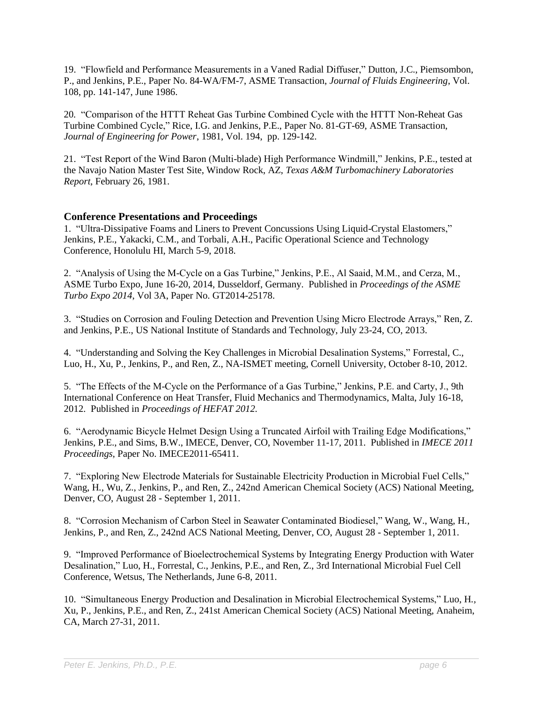19. "Flowfield and Performance Measurements in a Vaned Radial Diffuser," Dutton, J.C., Piemsombon, P., and Jenkins, P.E., Paper No. 84-WA/FM-7, ASME Transaction, *Journal of Fluids Engineering*, Vol. 108, pp. 141-147, June 1986.

20*.* "Comparison of the HTTT Reheat Gas Turbine Combined Cycle with the HTTT Non-Reheat Gas Turbine Combined Cycle," Rice, I.G. and Jenkins, P.E., Paper No. 81-GT-69, ASME Transaction, *Journal of Engineering for Power*, 1981, Vol. 194, pp. 129-142.

21. "Test Report of the Wind Baron (Multi-blade) High Performance Windmill," Jenkins, P.E., tested at the Navajo Nation Master Test Site, Window Rock, AZ, *Texas A&M Turbomachinery Laboratories Report*, February 26, 1981.

## **Conference Presentations and Proceedings**

1. "Ultra-Dissipative Foams and Liners to Prevent Concussions Using Liquid-Crystal Elastomers," Jenkins, P.E., Yakacki, C.M., and Torbali, A.H., Pacific Operational Science and Technology Conference, Honolulu HI, March 5-9, 2018.

2. "Analysis of Using the M-Cycle on a Gas Turbine," Jenkins, P.E., Al Saaid, M.M., and Cerza, M., ASME Turbo Expo, June 16-20, 2014, Dusseldorf, Germany. Published in *Proceedings of the ASME Turbo Expo 2014*, Vol 3A, Paper No. GT2014-25178.

3. "Studies on Corrosion and Fouling Detection and Prevention Using Micro Electrode Arrays," Ren, Z. and Jenkins, P.E., US National Institute of Standards and Technology, July 23-24, CO, 2013.

4. "Understanding and Solving the Key Challenges in Microbial Desalination Systems," Forrestal, C., Luo, H., Xu, P., Jenkins, P., and Ren, Z., NA-ISMET meeting, Cornell University, October 8-10, 2012.

5. "The Effects of the M-Cycle on the Performance of a Gas Turbine," Jenkins, P.E. and Carty, J., 9th International Conference on Heat Transfer, Fluid Mechanics and Thermodynamics, Malta, July 16-18, 2012. Published in *Proceedings of HEFAT 2012.*

6. "Aerodynamic Bicycle Helmet Design Using a Truncated Airfoil with Trailing Edge Modifications," Jenkins, P.E., and Sims, B.W., IMECE, Denver, CO, November 11-17, 2011. Published in *IMECE 2011 Proceedings*, Paper No. IMECE2011-65411.

7. "Exploring New Electrode Materials for Sustainable Electricity Production in Microbial Fuel Cells," Wang, H*.,* Wu, Z., Jenkins, P., and Ren, Z., 242nd American Chemical Society (ACS) National Meeting, Denver, CO, August 28 - September 1, 2011.

8. "Corrosion Mechanism of Carbon Steel in Seawater Contaminated Biodiesel," Wang, W., Wang, H*.,* Jenkins, P., and Ren, Z., 242nd ACS National Meeting, Denver, CO, August 28 - September 1, 2011.

9. "Improved Performance of Bioelectrochemical Systems by Integrating Energy Production with Water Desalination," Luo, H., Forrestal, C., Jenkins, P.E., and Ren, Z., 3rd International Microbial Fuel Cell Conference, Wetsus, The Netherlands, June 6-8, 2011.

10. "Simultaneous Energy Production and Desalination in Microbial Electrochemical Systems," Luo, H*.,* Xu, P., Jenkins, P.E., and Ren, Z., 241st American Chemical Society (ACS) National Meeting, Anaheim, CA, March 27-31, 2011.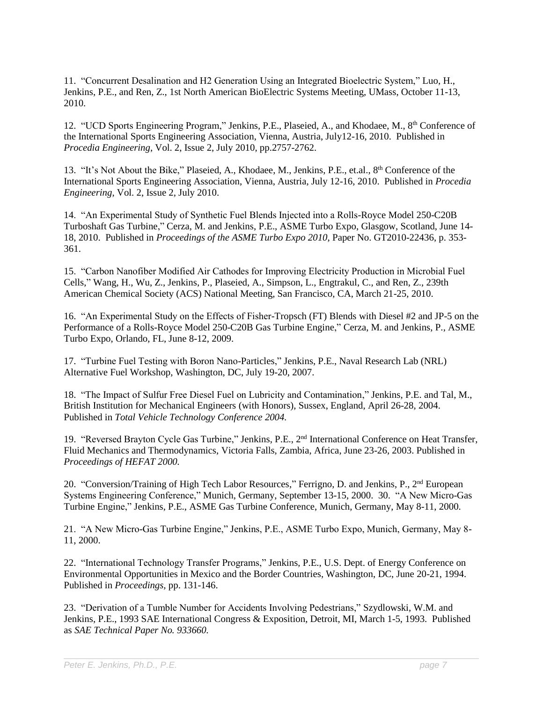11. "Concurrent Desalination and H2 Generation Using an Integrated Bioelectric System," Luo, H., Jenkins, P.E., and Ren, Z., 1st North American BioElectric Systems Meeting, UMass, October 11-13, 2010.

12. "UCD Sports Engineering Program," Jenkins, P.E., Plaseied, A., and Khodaee, M., 8<sup>th</sup> Conference of the International Sports Engineering Association, Vienna, Austria, July12-16, 2010. Published in *Procedia Engineering*, Vol. 2, Issue 2, July 2010, pp.2757-2762.

13. "It's Not About the Bike," Plaseied, A., Khodaee, M., Jenkins, P.E., et.al., 8<sup>th</sup> Conference of the International Sports Engineering Association, Vienna, Austria, July 12-16, 2010. Published in *Procedia Engineering*, Vol. 2, Issue 2, July 2010.

14. "An Experimental Study of Synthetic Fuel Blends Injected into a Rolls-Royce Model 250-C20B Turboshaft Gas Turbine," Cerza, M. and Jenkins, P.E., ASME Turbo Expo, Glasgow, Scotland, June 14- 18, 2010. Published in *Proceedings of the ASME Turbo Expo 2010*, Paper No. GT2010-22436, p. 353- 361.

15. "Carbon Nanofiber Modified Air Cathodes for Improving Electricity Production in Microbial Fuel Cells," Wang, H., Wu, Z., Jenkins, P., Plaseied, A., Simpson, L., Engtrakul, C., and Ren, Z., 239th American Chemical Society (ACS) National Meeting, San Francisco, CA, March 21-25, 2010.

16. "An Experimental Study on the Effects of Fisher-Tropsch (FT) Blends with Diesel #2 and JP-5 on the Performance of a Rolls-Royce Model 250-C20B Gas Turbine Engine," Cerza, M. and Jenkins, P., ASME Turbo Expo, Orlando, FL, June 8-12, 2009.

17. "Turbine Fuel Testing with Boron Nano-Particles," Jenkins, P.E., Naval Research Lab (NRL) Alternative Fuel Workshop, Washington, DC, July 19-20, 2007.

18. "The Impact of Sulfur Free Diesel Fuel on Lubricity and Contamination," Jenkins, P.E. and Tal, M., British Institution for Mechanical Engineers (with Honors), Sussex, England, April 26-28, 2004. Published in *Total Vehicle Technology Conference 2004.*

19. "Reversed Brayton Cycle Gas Turbine," Jenkins, P.E., 2<sup>nd</sup> International Conference on Heat Transfer, Fluid Mechanics and Thermodynamics, Victoria Falls, Zambia, Africa, June 23-26, 2003. Published in *Proceedings of HEFAT 2000.*

20. "Conversion/Training of High Tech Labor Resources," Ferrigno, D. and Jenkins, P., 2<sup>nd</sup> European Systems Engineering Conference," Munich, Germany, September 13-15, 2000. 30. "A New Micro-Gas Turbine Engine," Jenkins, P.E., ASME Gas Turbine Conference, Munich, Germany, May 8-11, 2000.

21. "A New Micro-Gas Turbine Engine," Jenkins, P.E., ASME Turbo Expo, Munich, Germany, May 8- 11, 2000.

22. "International Technology Transfer Programs," Jenkins, P.E., U.S. Dept. of Energy Conference on Environmental Opportunities in Mexico and the Border Countries, Washington, DC, June 20-21, 1994. Published in *Proceedings,* pp. 131-146.

23. "Derivation of a Tumble Number for Accidents Involving Pedestrians," Szydlowski, W.M. and Jenkins, P.E., 1993 SAE International Congress & Exposition, Detroit, MI, March 1-5, 1993. Published as *SAE Technical Paper No. 933660.*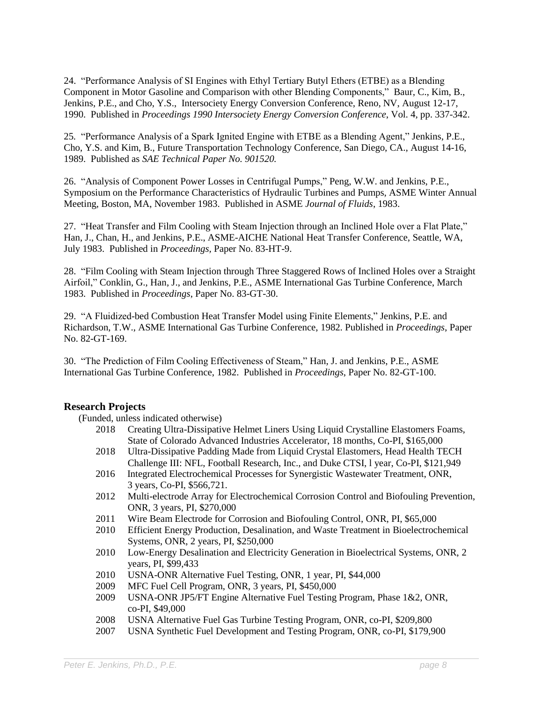24. "Performance Analysis of SI Engines with Ethyl Tertiary Butyl Ethers (ETBE) as a Blending Component in Motor Gasoline and Comparison with other Blending Components," Baur, C., Kim, B., Jenkins, P.E., and Cho, Y.S., Intersociety Energy Conversion Conference, Reno, NV, August 12-17, 1990. Published in *Proceedings 1990 Intersociety Energy Conversion Conference*, Vol. 4, pp. 337-342.

25*.* "Performance Analysis of a Spark Ignited Engine with ETBE as a Blending Agent," Jenkins, P.E., Cho, Y.S. and Kim, B., Future Transportation Technology Conference, San Diego, CA., August 14-16, 1989. Published as *SAE Technical Paper No. 901520.*

26. "Analysis of Component Power Losses in Centrifugal Pumps," Peng, W.W. and Jenkins, P.E., Symposium on the Performance Characteristics of Hydraulic Turbines and Pumps, ASME Winter Annual Meeting, Boston, MA, November 1983. Published in ASME *Journal of Fluids*, 1983.

27. "Heat Transfer and Film Cooling with Steam Injection through an Inclined Hole over a Flat Plate," Han, J., Chan, H., and Jenkins, P.E., ASME-AICHE National Heat Transfer Conference, Seattle, WA, July 1983. Published in *Proceedings,* Paper No. 83-HT-9.

28. "Film Cooling with Steam Injection through Three Staggered Rows of Inclined Holes over a Straight Airfoil," Conklin, G., Han, J., and Jenkins, P.E., ASME International Gas Turbine Conference, March 1983. Published in *Proceedings*, Paper No. 83-GT-30.

29. "A Fluidized-bed Combustion Heat Transfer Model using Finite Element*s*," Jenkins, P.E. and Richardson, T.W., ASME International Gas Turbine Conference, 1982. Published in *Proceedings*, Paper No. 82-GT-169.

30. "The Prediction of Film Cooling Effectiveness of Steam," Han, J. and Jenkins, P.E., ASME International Gas Turbine Conference, 1982. Published in *Proceedings*, Paper No. 82-GT-100.

## **Research Projects**

(Funded, unless indicated otherwise)

- 2018 Creating Ultra-Dissipative Helmet Liners Using Liquid Crystalline Elastomers Foams, State of Colorado Advanced Industries Accelerator, 18 months, Co-PI, \$165,000
- 2018 Ultra-Dissipative Padding Made from Liquid Crystal Elastomers, Head Health TECH Challenge III: NFL, Football Research, Inc., and Duke CTSI, l year, Co-PI, \$121,949
- 2016 Integrated Electrochemical Processes for Synergistic Wastewater Treatment, ONR, 3 years, Co-PI, \$566,721.
- 2012 Multi-electrode Array for Electrochemical Corrosion Control and Biofouling Prevention, ONR, 3 years, PI, \$270,000
- 2011 Wire Beam Electrode for Corrosion and Biofouling Control, ONR, PI, \$65,000
- 2010 Efficient Energy Production, Desalination, and Waste Treatment in Bioelectrochemical Systems, ONR, 2 years, PI, \$250,000
- 2010 Low-Energy Desalination and Electricity Generation in Bioelectrical Systems, ONR, 2 years, PI, \$99,433
- 2010 USNA-ONR Alternative Fuel Testing, ONR, 1 year, PI, \$44,000
- 2009 MFC Fuel Cell Program, ONR, 3 years, PI, \$450,000
- 2009 USNA-ONR JP5/FT Engine Alternative Fuel Testing Program, Phase 1&2, ONR, co-PI, \$49,000
- 2008 USNA Alternative Fuel Gas Turbine Testing Program, ONR, co-PI, \$209,800
- 2007 USNA Synthetic Fuel Development and Testing Program, ONR, co-PI, \$179,900